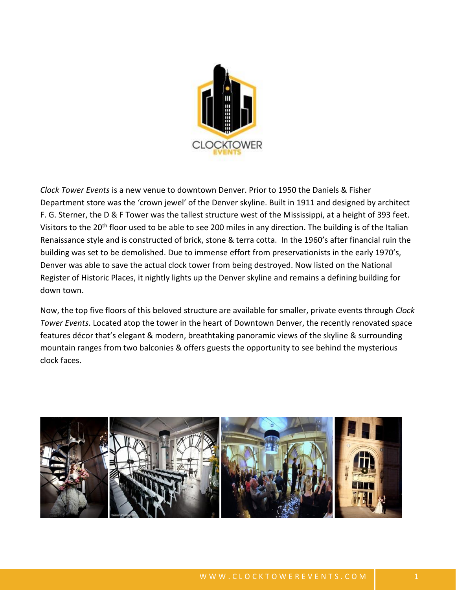

*Clock Tower Events* is a new venue to downtown Denver. Prior to 1950 the Daniels & Fisher Department store was the 'crown jewel' of the Denver skyline. Built in 1911 and designed by architect F. G. Sterner, the D & F Tower was the tallest structure west of the Mississippi, at a height of 393 feet. Visitors to the 20<sup>th</sup> floor used to be able to see 200 miles in any direction. The building is of the Italian Renaissance style and is constructed of brick, stone & terra cotta. In the 1960's after financial ruin the building was set to be demolished. Due to immense effort from preservationists in the early 1970's, Denver was able to save the actual clock tower from being destroyed. Now listed on the National Register of Historic Places, it nightly lights up the Denver skyline and remains a defining building for down town.

Now, the top five floors of this beloved structure are available for smaller, private events through *Clock Tower Events*. Located atop the tower in the heart of Downtown Denver, the recently renovated space features décor that's elegant & modern, breathtaking panoramic views of the skyline & surrounding mountain ranges from two balconies & offers guests the opportunity to see behind the mysterious clock faces.

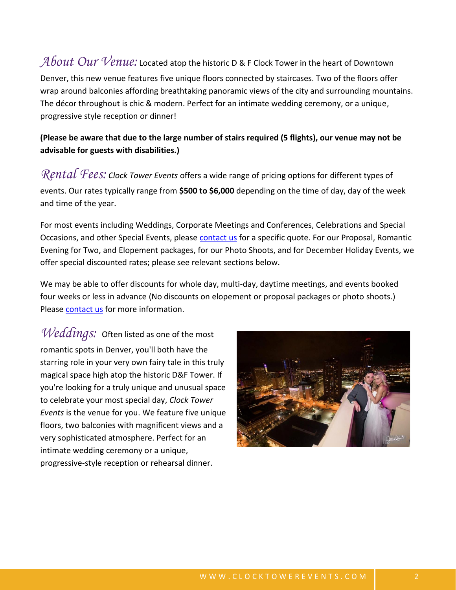## *About Our Venue:* Located atop the historic D & F Clock Tower in the heart of Downtown Denver, this new venue features five unique floors connected by staircases. Two of the floors offer wrap around balconies affording breathtaking panoramic views of the city and surrounding mountains. The décor throughout is chic & modern. Perfect for an intimate wedding ceremony, or a unique, progressive style reception or dinner!

### **(Please be aware that due to the large number of stairs required (5 flights), our venue may not be advisable for guests with disabilities.)**

*Rental Fees: Clock Tower Events* offers a wide range of pricing options for different types of events. Our rates typically range from **\$500 to \$6,000** depending on the time of day, day of the week and time of the year.

For most events including Weddings, Corporate Meetings and Conferences, Celebrations and Special Occasions, and other Special Events, please [contact us](http://www.clocktowerevents.com/contact.html) for a specific quote. For our Proposal, Romantic Evening for Two, and Elopement packages, for our Photo Shoots, and for December Holiday Events, we offer special discounted rates; please see relevant sections below.

We may be able to offer discounts for whole day, multi-day, daytime meetings, and events booked four weeks or less in advance (No discounts on elopement or proposal packages or photo shoots.) Please [contact us](http://www.clocktowerevents.com/contact.html) for more information.

*Weddings:* Often listed as one of the most romantic spots in Denver, you'll both have the starring role in your very own fairy tale in this truly magical space high atop the historic D&F Tower. If you're looking for a truly unique and unusual space to celebrate your most special day, *Clock Tower Events* is the venue for you. We feature five unique floors, two balconies with magnificent views and a very sophisticated atmosphere. Perfect for an intimate wedding ceremony or a unique, progressive-style reception or rehearsal dinner.

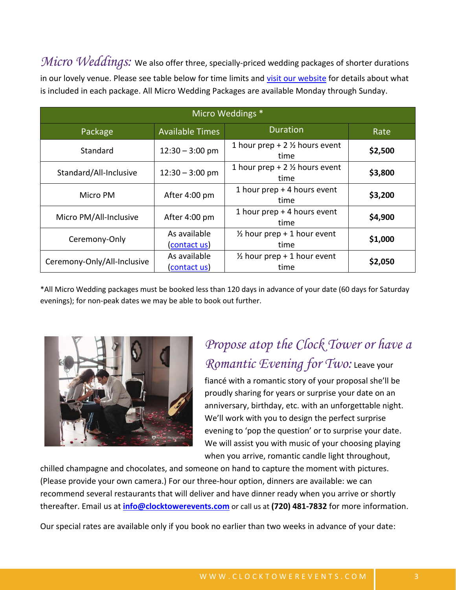*Micro Weddings:* We also offer three, specially-priced wedding packages of shorter durations in our lovely venue. Please see table below for time limits and [visit our website](https://clocktowerevents.com/micro-weddings.html) for details about what is included in each package. All Micro Wedding Packages are available Monday through Sunday.

| Micro Weddings *            |                              |                                                   |         |  |
|-----------------------------|------------------------------|---------------------------------------------------|---------|--|
| Package                     | <b>Available Times</b>       | <b>Duration</b>                                   | Rate    |  |
| Standard                    | $12:30 - 3:00$ pm            | 1 hour prep + $2\frac{1}{2}$ hours event<br>time  | \$2,500 |  |
| Standard/All-Inclusive      | $12:30 - 3:00$ pm            | 1 hour prep + 2 $\frac{1}{2}$ hours event<br>time | \$3,800 |  |
| Micro PM                    | After 4:00 pm                | 1 hour prep + 4 hours event<br>time               | \$3,200 |  |
| Micro PM/All-Inclusive      | After 4:00 pm                | 1 hour prep + 4 hours event<br>time               | \$4,900 |  |
| Ceremony-Only               | As available<br>(contact us) | $\frac{1}{2}$ hour prep + 1 hour event<br>time    | \$1,000 |  |
| Ceremony-Only/All-Inclusive | As available<br>(contact us) | $\frac{1}{2}$ hour prep + 1 hour event<br>time    | \$2,050 |  |

\*All Micro Wedding packages must be booked less than 120 days in advance of your date (60 days for Saturday evenings); for non-peak dates we may be able to book out further.



# *Propose atop the Clock Tower or have a Romantic Evening for Two:* Leave your

fiancé with a romantic story of your proposal she'll be proudly sharing for years or surprise your date on an anniversary, birthday, etc. with an unforgettable night. We'll work with you to design the perfect surprise evening to 'pop the question' or to surprise your date. We will assist you with music of your choosing playing when you arrive, romantic candle light throughout,

chilled champagne and chocolates, and someone on hand to capture the moment with pictures. (Please provide your own camera.) For our three-hour option, dinners are available: we can recommend several restaurants that will deliver and have dinner ready when you arrive or shortly thereafter. Email us at **[info@clocktowerevents.com](mailto:info@clocktowerevents.com)** or call us at **(720) 481-7832** for more information.

Our special rates are available only if you book no earlier than two weeks in advance of your date: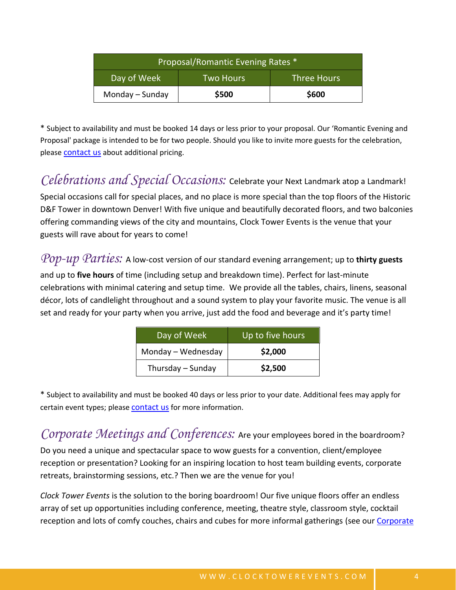| Proposal/Romantic Evening Rates * |                  |                    |  |
|-----------------------------------|------------------|--------------------|--|
| Day of Week                       | <b>Two Hours</b> | <b>Three Hours</b> |  |
| Monday - Sunday                   | \$500            | \$600              |  |

\* Subject to availability and must be booked 14 days or less prior to your proposal. Our 'Romantic Evening and Proposal' package is intended to be for two people. Should you like to invite more guests for the celebration, please [contact us](http://www.clocktowerevents.com/contact.html) about additional pricing.

*Celebrations and Special Occasions:* Celebrate your Next Landmark atop a Landmark! Special occasions call for special places, and no place is more special than the top floors of the Historic D&F Tower in downtown Denver! With five unique and beautifully decorated floors, and two balconies offering commanding views of the city and mountains, Clock Tower Events is the venue that your guests will rave about for years to come!

*Pop-up Parties:* A low-cost version of our standard evening arrangement; up to **thirty guests**

and up to **five hours** of time (including setup and breakdown time). Perfect for last-minute celebrations with minimal catering and setup time. We provide all the tables, chairs, linens, seasonal décor, lots of candlelight throughout and a sound system to play your favorite music. The venue is all set and ready for your party when you arrive, just add the food and beverage and it's party time!

| Day of Week        | Up to five hours |  |
|--------------------|------------------|--|
| Monday - Wednesday | \$2,000          |  |
| Thursday - Sunday  | \$2,500          |  |

\* Subject to availability and must be booked 40 days or less prior to your date. Additional fees may apply for certain event types; please **[contact us](http://www.clocktowerevents.com/contact.html)** for more information.

*Corporate Meetings and Conferences:* Are your employees bored in the boardroom? Do you need a unique and spectacular space to wow guests for a convention, client/employee reception or presentation? Looking for an inspiring location to host team building events, corporate retreats, brainstorming sessions, etc.? Then we are the venue for you!

*Clock Tower Events* is the solution to the boring boardroom! Our five unique floors offer an endless array of set up opportunities including conference, meeting, theatre style, classroom style, cocktail reception and lots of comfy couches, chairs and cubes for more informal gatherings (see our [Corporate](http://clocktowerevents.com/corporate.html)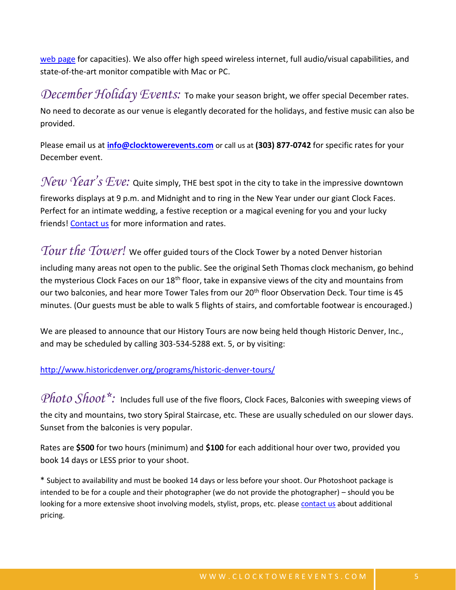[web page](http://clocktowerevents.com/corporate.html) for capacities). We also offer high speed wireless internet, full audio/visual capabilities, and state-of-the-art monitor compatible with Mac or PC.

*December Holiday Events:* To make your season bright, we offer special December rates. No need to decorate as our venue is elegantly decorated for the holidays, and festive music can also be provided.

Please email us at **[info@clocktowerevents.com](mailto:info@clocktowerevents.com)** or call us at **(303) 877-0742** for specific rates for your December event.

*New Year's Eve:* Quite simply, THE best spot in the city to take in the impressive downtown fireworks displays at 9 p.m. and Midnight and to ring in the New Year under our giant Clock Faces. Perfect for an intimate wedding, a festive reception or a magical evening for you and your lucky friends! [Contact us](http://www.clocktowerevents.com/contact.html) for more information and rates.

*Tour the Tower!* We offer guided tours of the Clock Tower by a noted Denver historian including many areas not open to the public. See the original Seth Thomas clock mechanism, go behind the mysterious Clock Faces on our  $18<sup>th</sup>$  floor, take in expansive views of the city and mountains from our two balconies, and hear more Tower Tales from our 20<sup>th</sup> floor Observation Deck. Tour time is 45 minutes. (Our guests must be able to walk 5 flights of stairs, and comfortable footwear is encouraged.)

We are pleased to announce that our History Tours are now being held though Historic Denver, Inc., and may be scheduled by calling 303-534-5288 ext. 5, or by visiting:

<http://www.historicdenver.org/programs/historic-denver-tours/>

Photo Shoot<sup>\*</sup>: Includes full use of the five floors, Clock Faces, Balconies with sweeping views of the city and mountains, two story Spiral Staircase, etc. These are usually scheduled on our slower days. Sunset from the balconies is very popular.

Rates are **\$500** for two hours (minimum) and **\$100** for each additional hour over two, provided you book 14 days or LESS prior to your shoot.

\* Subject to availability and must be booked 14 days or less before your shoot. Our Photoshoot package is intended to be for a couple and their photographer (we do not provide the photographer) – should you be looking for a more extensive shoot involving models, stylist, props, etc. please [contact us](http://www.clocktowerevents.com/contact.html) about additional pricing.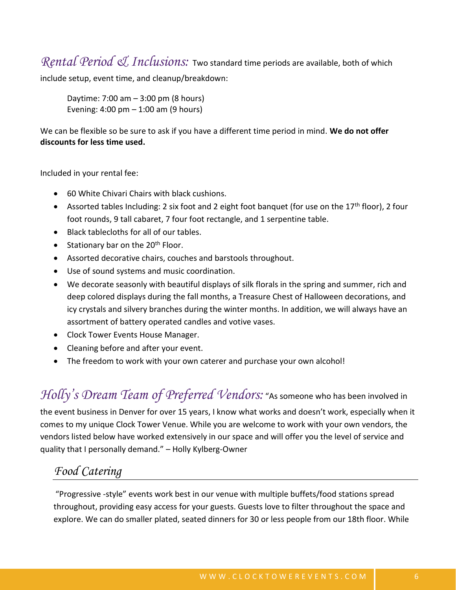*Rental Period & Inclusions:* Two standard time periods are available, both of which

include setup, event time, and cleanup/breakdown:

Daytime: 7:00 am – 3:00 pm (8 hours) Evening:  $4:00 \text{ pm} - 1:00 \text{ am}$  (9 hours)

We can be flexible so be sure to ask if you have a different time period in mind. **We do not offer discounts for less time used.**

Included in your rental fee:

- 60 White Chivari Chairs with black cushions.
- Assorted tables Including: 2 six foot and 2 eight foot banquet (for use on the 17<sup>th</sup> floor), 2 four foot rounds, 9 tall cabaret, 7 four foot rectangle, and 1 serpentine table.
- Black tablecloths for all of our tables.
- Stationary bar on the  $20<sup>th</sup>$  Floor.
- Assorted decorative chairs, couches and barstools throughout.
- Use of sound systems and music coordination.
- We decorate seasonly with beautiful displays of silk florals in the spring and summer, rich and deep colored displays during the fall months, a Treasure Chest of Halloween decorations, and icy crystals and silvery branches during the winter months. In addition, we will always have an assortment of battery operated candles and votive vases.
- Clock Tower Events House Manager.
- Cleaning before and after your event.
- The freedom to work with your own caterer and purchase your own alcohol!

*Holly's Dream Team of Preferred Vendors:* "As someone who has been involved in

the event business in Denver for over 15 years, I know what works and doesn't work, especially when it comes to my unique Clock Tower Venue. While you are welcome to work with your own vendors, the vendors listed below have worked extensively in our space and will offer you the level of service and quality that I personally demand." – Holly Kylberg-Owner

## *Food Catering*

"Progressive -style" events work best in our venue with multiple buffets/food stations spread throughout, providing easy access for your guests. Guests love to filter throughout the space and explore. We can do smaller plated, seated dinners for 30 or less people from our 18th floor. While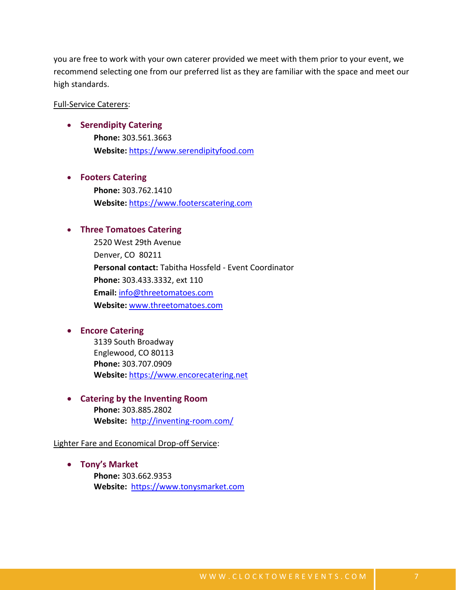you are free to work with your own caterer provided we meet with them prior to your event, we recommend selecting one from our preferred list as they are familiar with the space and meet our high standards.

#### Full-Service Caterers:

#### • **Serendipity Catering**

**Phone:** 303.561.3663 **Website:** [https://www.serendipityfood.com](https://www.serendipityfood.com/)

#### • **Footers Catering**

**Phone:** 303.762.1410 **Website:** [https://www.footerscatering.com](https://www.footerscatering.com/)

#### • **Three Tomatoes Catering**

2520 West 29th Avenue Denver, CO 80211 **Personal contact:** Tabitha Hossfeld - Event Coordinator **Phone:** 303.433.3332, ext 110 **Email:** [info@threetomatoes.com](mailto:info@threetomatoes.com) **Website:** [www.threetomatoes.com](http://www.threetomatoes.com/)

#### • **Encore Catering**

3139 South Broadway Englewood, CO 80113 **Phone:** 303.707.0909 **Website:** [https://www.encorecatering.net](https://www.encorecatering.net/)

• **Catering by the Inventing Room Phone:** 303.885.2802 **Website:** <http://inventing-room.com/>

Lighter Fare and Economical Drop-off Service:

• **Tony's Market Phone:** 303.662.9353 **Website:** [https://www.tonysmarket.com](https://www.tonysmarket.com/)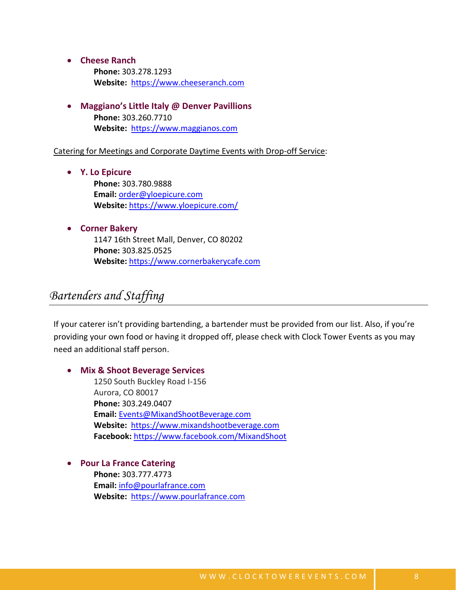- **Cheese Ranch**
	- **Phone:** 303.278.1293 **Website:** [https://www.cheeseranch.com](https://www.cheeseranch.com/)
- **Maggiano's Little Italy @ Denver Pavillions Phone:** 303.260.7710 **Website:** [https://www.maggianos.com](https://www.maggianos.com/)

Catering for Meetings and Corporate Daytime Events with Drop-off Service:

- **Y. Lo Epicure Phone:** 303.780.9888 **Email:** [order@yloepicure.com](mailto:order@yloepicure.com) **Website:** <https://www.yloepicure.com/>
- **Corner Bakery** 1147 16th Street Mall, Denver, CO 80202 **Phone:** 303.825.0525 **Website:** [https://www.cornerbakerycafe.com](https://www.cornerbakerycafe.com/)

## *Bartenders and Staffing*

If your caterer isn't providing bartending, a bartender must be provided from our list. Also, if you're providing your own food or having it dropped off, please check with Clock Tower Events as you may need an additional staff person.

#### • **Mix & Shoot Beverage Services**

1250 South Buckley Road I-156 Aurora, CO 80017 **Phone:** 303.249.0407 **Email:** [Events@MixandShootBeverage.com](mailto:Events@MixandShootBeverage.com) **Website:** [https://www.mixandshootbeverage.com](https://www.mixandshootbeverage.com/) **Facebook:** <https://www.facebook.com/MixandShoot>

• **Pour La France Catering**

**Phone:** 303.777.4773 **Email:** [info@pourlafrance.com](mailto:info@pourlafrance.com) **Website:** [https://www.pourlafrance.com](https://www.pourlafrance.com/)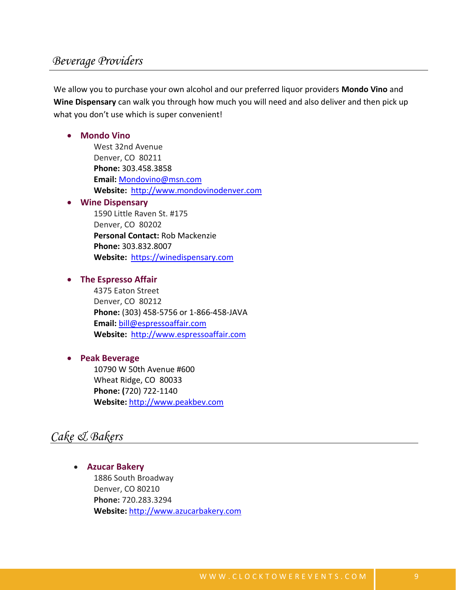## *Beverage Providers*

We allow you to purchase your own alcohol and our preferred liquor providers **Mondo Vino** and **Wine Dispensary** can walk you through how much you will need and also deliver and then pick up what you don't use which is super convenient!

#### • **Mondo Vino**

West 32nd Avenue Denver, CO 80211 **Phone:** 303.458.3858 **Email:** [Mondovino@msn.com](mailto:Mondovino@msn.com) **Website:** [http://www.mondovinodenver.com](http://www.mondovinodenver.com/)

#### • **Wine Dispensary**

1590 Little Raven St. #175 Denver, CO 80202 **Personal Contact:** Rob Mackenzie **Phone:** 303.832.8007 **Website:** [https://winedispensary.com](https://winedispensary.com/)

#### • **The Espresso Affair**

4375 Eaton Street Denver, CO 80212 **Phone:** (303) 458-5756 or 1-866-458-JAVA **Email:** [bill@espressoaffair.com](mailto:bill@espressoaffair.com) **Website:** [http://www.espressoaffair.com](http://www.espressoaffair.com/)

#### • **Peak Beverage**

10790 W 50th Avenue #600 Wheat Ridge, CO 80033 **Phone: (**720) 722-1140 **Website:** [http://www.peakbev.com](http://www.peakbev.com/)

## *Cake & Bakers*

• **Azucar Bakery** 1886 South Broadway Denver, CO 80210 **Phone:** 720.283.3294 **Website:** [http://www.azucarbakery.com](http://www.azucarbakery.com/)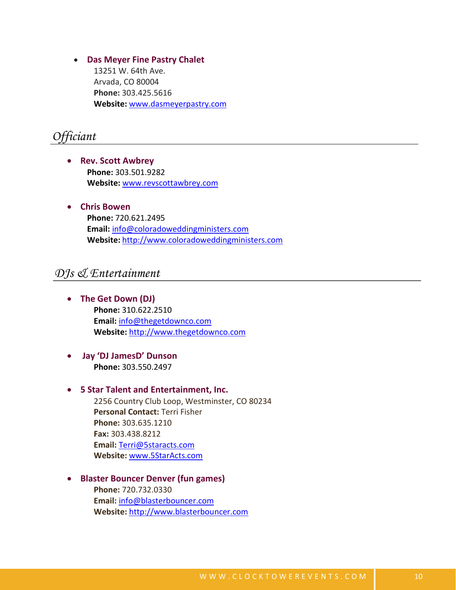• **Das Meyer Fine Pastry Chalet** 13251 W. 64th Ave. Arvada, CO 80004 **Phone:** 303.425.5616 **Website:** [www.dasmeyerpastry.com](http://www.dasmeyerpastry.com/)

## *Officiant*

- **Rev. Scott Awbrey Phone:** 303.501.9282 **Website:** [www.revscottawbrey.com](http://www.revscottawbrey.com/)
- **Chris Bowen Phone:** 720.621.2495 **Email:** [info@coloradoweddingministers.com](mailto:info@coloradoweddingministers.com) **Website:** [http://www.coloradoweddingministers.com](http://www.coloradoweddingministers.com/)

## *DJs & Entertainment*

- **The Get Down (DJ) Phone:** 310.622.2510 **Email:** [info@thegetdownco.com](mailto:info@thegetdownco.com) **Website:** [http://www.thegetdownco.com](http://www.thegetdownco.com/)
- **Jay 'DJ JamesD' Dunson Phone:** 303.550.2497

#### • **5 Star Talent and Entertainment, Inc.**

2256 Country Club Loop, Westminster, CO 80234 **Personal Contact:** Terri Fisher **Phone:** 303.635.1210 **Fax:** 303.438.8212 **Email:** [Terri@5staracts.com](mailto:Terri@5staracts.com) **Website:** [www.5StarActs.com](http://www.5staracts.com/)

#### • **Blaster Bouncer Denver (fun games)**

**Phone:** 720.732.0330 **Email:** [info@blasterbouncer.com](mailto:info@blasterbouncer.com) **Website:** [http://www.blasterbouncer.com](http://www.blasterbouncer.com/)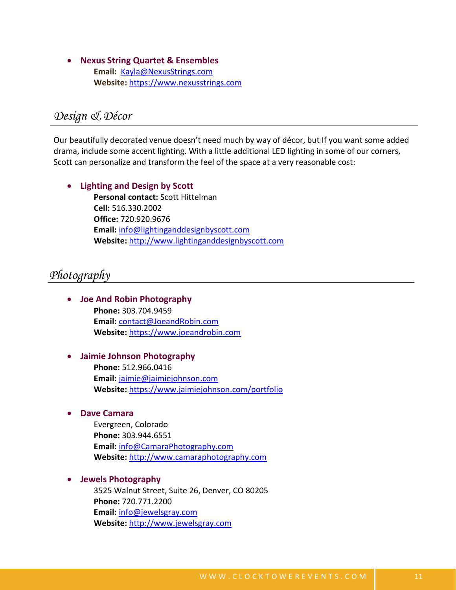• **Nexus String Quartet & Ensembles Email:** [Kayla@NexusStrings.com](mailto:Kayla@NexusStrings.com) **Website:** [https://www.nexusstrings.com](https://www.nexusstrings.com/)

## *Design & Décor*

Our beautifully decorated venue doesn't need much by way of décor, but If you want some added drama, include some accent lighting. With a little additional LED lighting in some of our corners, Scott can personalize and transform the feel of the space at a very reasonable cost:

• **Lighting and Design by Scott Personal contact:** Scott Hittelman **Cell:** 516.330.2002 **Office:** 720.920.9676 **Email:** [info@lightinganddesignbyscott.com](mailto:info@lightinganddesignbyscott.com) **Website:** [http://www.lightinganddesignbyscott.com](http://www.lightinganddesignbyscott.com/)

### *Photography*

- **Joe And Robin Photography Phone:** 303.704.9459 **Email:** [contact@JoeandRobin.com](mailto:contact@JoeandRobin.com) **Website:** [https://www.joeandrobin.com](https://www.joeandrobin.com/)
	- **Jaimie Johnson Photography Phone:** 512.966.0416 **Email:** [jaimie@jaimiejohnson.com](mailto:jaimie@jaimiejohnson.com) **Website:** <https://www.jaimiejohnson.com/portfolio>
- **Dave Camara**

Evergreen, Colorado **Phone:** 303.944.6551 **Email:** [info@CamaraPhotography.com](mailto:info@CamaraPhotography.com) **Website:** [http://www.camaraphotography.com](http://www.camaraphotography.com/)

• **Jewels Photography**

3525 Walnut Street, Suite 26, Denver, CO 80205 **Phone:** 720.771.2200 **Email:** [info@jewelsgray.com](mailto:info@jewelsgray.com) **Website:** [http://www.jewelsgray.com](http://www.jewelsgray.com/)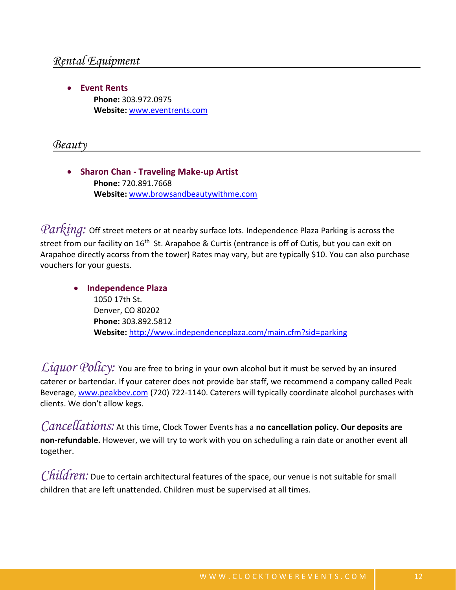• **Event Rents Phone:** 303.972.0975 **Website:** [www.eventrents.com](http://www.eventrents.com/)

*Beauty*

• **Sharon Chan - Traveling Make-up Artist Phone:** 720.891.7668 **Website:** [www.browsandbeautywithme.com](http://www.browsandbeautywithme.com/)

*Parking:* Off street meters or at nearby surface lots. Independence Plaza Parking is across the street from our facility on 16<sup>th</sup> St. Arapahoe & Curtis (entrance is off of Cutis, but you can exit on Arapahoe directly acorss from the tower) Rates may vary, but are typically \$10. You can also purchase vouchers for your guests.

• **Independence Plaza** 1050 17th St. Denver, CO 80202 **Phone:** 303.892.5812 **Website:** <http://www.independenceplaza.com/main.cfm?sid=parking>

Liquor Policy: You are free to bring in your own alcohol but it must be served by an insured caterer or bartendar. If your caterer does not provide bar staff, we recommend a company called Peak Beverage, [www.peakbev.com](http://www.peakbev.com/) (720) 722-1140. Caterers will typically coordinate alcohol purchases with clients. We don't allow kegs.

*Cancellations:* At this time, Clock Tower Events has a **no cancellation policy. Our deposits are non-refundable.** However, we will try to work with you on scheduling a rain date or another event all together.

*Children:* Due to certain architectural features of the space, our venue is not suitable for small children that are left unattended. Children must be supervised at all times.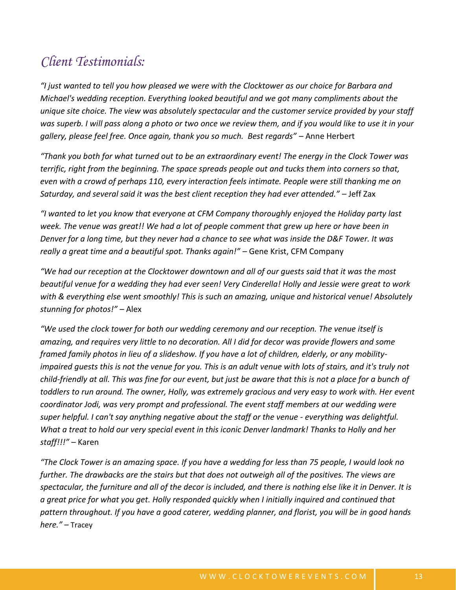# *Client Testimonials:*

*"I just wanted to tell you how pleased we were with the Clocktower as our choice for Barbara and Michael's wedding reception. Everything looked beautiful and we got many compliments about the unique site choice. The view was absolutely spectacular and the customer service provided by your staff was superb. I will pass along a photo or two once we review them, and if you would like to use it in your gallery, please feel free. Once again, thank you so much. Best regards" –* Anne Herbert

*"Thank you both for what turned out to be an extraordinary event! The energy in the Clock Tower was terrific, right from the beginning. The space spreads people out and tucks them into corners so that, even with a crowd of perhaps 110, every interaction feels intimate. People were still thanking me on Saturday, and several said it was the best client reception they had ever attended." –* Jeff Zax

*"I wanted to let you know that everyone at CFM Company thoroughly enjoyed the Holiday party last week. The venue was great!! We had a lot of people comment that grew up here or have been in Denver for a long time, but they never had a chance to see what was inside the D&F Tower. It was really a great time and a beautiful spot. Thanks again!" –* Gene Krist, CFM Company

*"We had our reception at the Clocktower downtown and all of our guests said that it was the most beautiful venue for a wedding they had ever seen! Very Cinderella! Holly and Jessie were great to work with & everything else went smoothly! This is such an amazing, unique and historical venue! Absolutely stunning for photos!" –* Alex

*"We used the clock tower for both our wedding ceremony and our reception. The venue itself is amazing, and requires very little to no decoration. All I did for decor was provide flowers and some framed family photos in lieu of a slideshow. If you have a lot of children, elderly, or any mobilityimpaired quests this is not the venue for you. This is an adult venue with lots of stairs, and it's truly not child-friendly at all. This was fine for our event, but just be aware that this is not a place for a bunch of toddlers to run around. The owner, Holly, was extremely gracious and very easy to work with. Her event coordinator Jodi, was very prompt and professional. The event staff members at our wedding were super helpful. I can't say anything negative about the staff or the venue - everything was delightful. What a treat to hold our very special event in this iconic Denver landmark! Thanks to Holly and her staff!!!" –* Karen

*"The Clock Tower is an amazing space. If you have a wedding for less than 75 people, I would look no further. The drawbacks are the stairs but that does not outweigh all of the positives. The views are spectacular, the furniture and all of the decor is included, and there is nothing else like it in Denver. It is a great price for what you get. Holly responded quickly when I initially inquired and continued that pattern throughout. If you have a good caterer, wedding planner, and florist, you will be in good hands here." –* Tracey